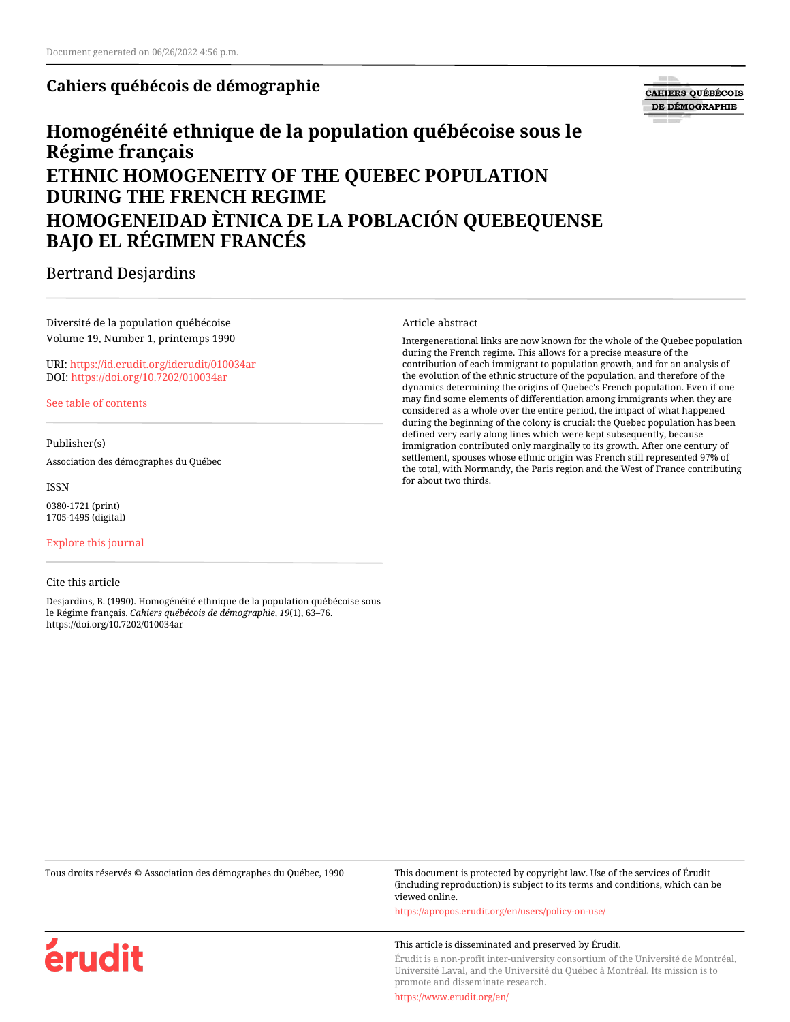**Cahiers québécois de démographie**

**CAHIERS QUÉBÉCOIS** DE DÉMOGRAPHIE

# **Homogénéité ethnique de la population québécoise sous le Régime français ETHNIC HOMOGENEITY OF THE QUEBEC POPULATION DURING THE FRENCH REGIME HOMOGENEIDAD ÈTNICA DE LA POBLACIÓN QUEBEQUENSE BAJO EL RÉGIMEN FRANCÉS**

Bertrand Desjardins

Diversité de la population québécoise Volume 19, Number 1, printemps 1990

URI:<https://id.erudit.org/iderudit/010034ar> DOI:<https://doi.org/10.7202/010034ar>

[See table of contents](https://www.erudit.org/en/journals/cqd/1990-v19-n1-cqd568/)

Publisher(s)

Association des démographes du Québec

ISSN 0380-1721 (print) 1705-1495 (digital)

[Explore this journal](https://www.erudit.org/en/journals/cqd/)

## Cite this article

érudit

Desjardins, B. (1990). Homogénéité ethnique de la population québécoise sous le Régime français. *Cahiers québécois de démographie*, *19*(1), 63–76. https://doi.org/10.7202/010034ar

Article abstract

Intergenerational links are now known for the whole of the Quebec population during the French regime. This allows for a precise measure of the contribution of each immigrant to population growth, and for an analysis of the evolution of the ethnic structure of the population, and therefore of the dynamics determining the origins of Quebec's French population. Even if one may find some elements of differentiation among immigrants when they are considered as a whole over the entire period, the impact of what happened during the beginning of the colony is crucial: the Quebec population has been defined very early along lines which were kept subsequently, because immigration contributed only marginally to its growth. After one century of settlement, spouses whose ethnic origin was French still represented 97% of the total, with Normandy, the Paris region and the West of France contributing for about two thirds.

Tous droits réservés © Association des démographes du Québec, 1990 This document is protected by copyright law. Use of the services of Érudit (including reproduction) is subject to its terms and conditions, which can be viewed online.

<https://apropos.erudit.org/en/users/policy-on-use/>

#### This article is disseminated and preserved by Érudit.

Érudit is a non-profit inter-university consortium of the Université de Montréal, Université Laval, and the Université du Québec à Montréal. Its mission is to promote and disseminate research.

<https://www.erudit.org/en/>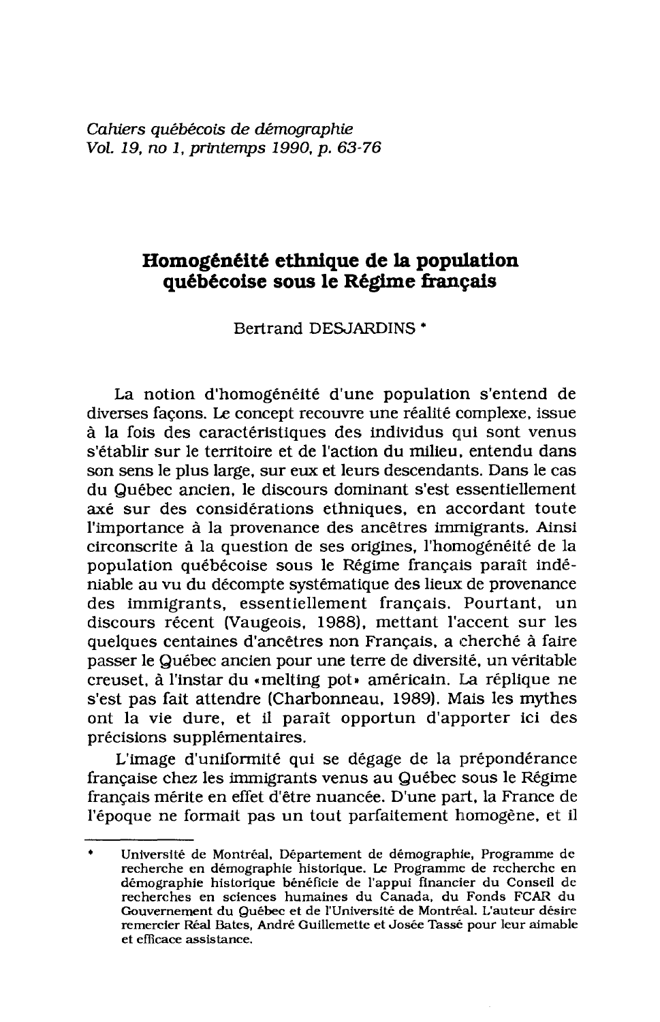## Homogénéité ethnique de la population québécoise sous le Régime français

Bertrand DESJARDINS<sup>\*</sup>

La notion d'homogénéité d'une population s'entend de diverses façons. Le concept recouvre une réalité complexe, issue à la fois des caractéristiques des individus qui sont venus s'établir sur le territoire et de l'action du milieu, entendu dans son sens le plus large, sur eux et leurs descendants. Dans le cas du Québec ancien, le discours dominant s'est essentiellement axé sur des considérations ethniques, en accordant toute l'importance à la provenance des ancêtres immigrants. Ainsi circonscrite à la question de ses origines, l'homogénéité de la population québécoise sous le Régime français paraît indéniable au vu du décompte systématique des lieux de provenance des immigrants, essentiellement français. Pourtant, un discours récent (Vaugeois, 1988), mettant l'accent sur les quelques centaines d'ancêtres non Français, a cherché à faire passer le Québec ancien pour une terre de diversité, un véritable creuset, à l'instar du «melting pot» américain. La réplique ne s'est pas fait attendre (Charbonneau, 1989). Mais les mythes ont la vie dure, et il paraît opportun d'apporter ici des précisions supplémentaires.

L'image d'uniformité qui se dégage de la prépondérance française chez les immigrants venus au Québec sous le Régime français mérite en effet d'être nuancée. D'une part, la France de l'époque ne formait pas un tout parfaitement homogène, et il

 $\bullet$ Université de Montréal, Département de démographie, Programme de recherche en démographie historique. Le Programme de recherche en démographie historique bénéficie de l'appui financier du Conseil de recherches en sciences humaines du Canada, du Fonds FCAR du Gouvernement du Québec et de l'Université de Montréal. L'auteur désire remercier Réal Bates, André Guillemette et Josée Tassé pour leur aimable et efficace assistance.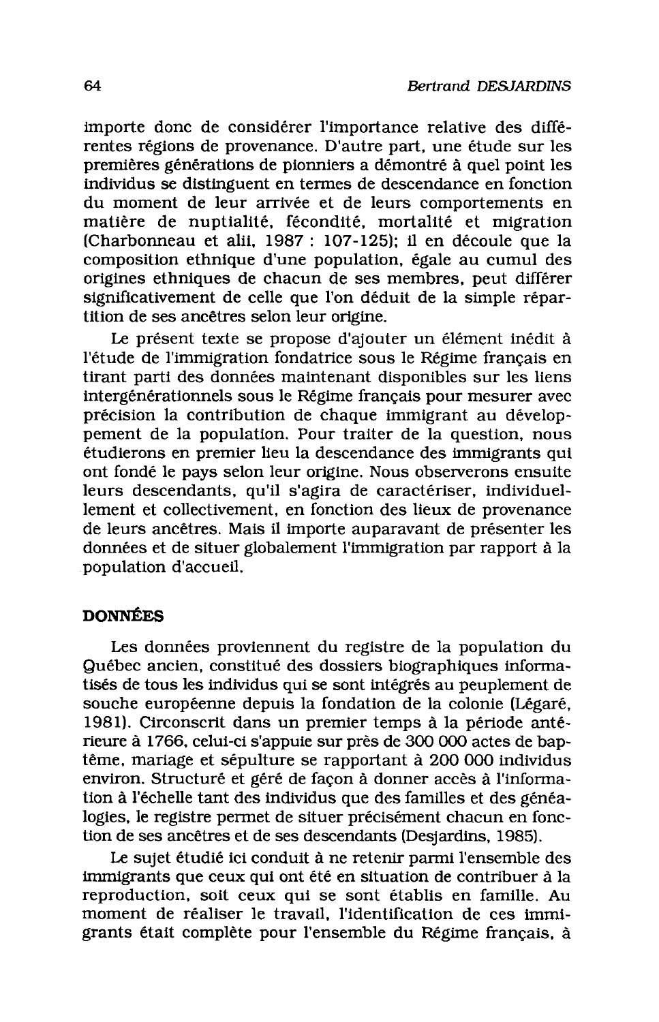importe donc de considérer l'importance relative des différentes régions de provenance. D'autre part, une étude sur les premières générations de pionniers a démontré à quel point les individus se distinguent en termes de descendance en fonction du moment de leur arrivée et de leurs comportements en matière de nuptialité, fécondité, mortalité et migration (Charbonneau et alii, 1987 : 107-125); il en découle que la composition ethnique d'une population, égale au cumul des origines ethniques de chacun de ses membres, peut différer significativement de celle que l'on déduit de la simple répartition de ses ancêtres selon leur origine.

Le présent texte se propose d'ajouter un élément inédit à l'étude de l'immigration fondatrice sous le Régime français en tirant parti des données maintenant disponibles sur les liens intergénérationnels sous le Régime français pour mesurer avec précision la contribution de chaque immigrant au développement de la population. Pour traiter de la question, nous étudierons en premier lieu la descendance des immigrants qui ont fondé le pays selon leur origine. Nous observerons ensuite leurs descendants, qu'il s'agira de caractériser, individuellement et collectivement, en fonction des lieux de provenance de leurs ancêtres. Mais il importe auparavant de présenter les données et de situer globalement l'immigration par rapport à la population d'accueil.

## **DONNÉES**

Les données proviennent du registre de la population du Québec ancien, constitué des dossiers biographiques informatisés de tous les individus qui se sont intégrés au peuplement de souche européenne depuis la fondation de la colonie (Légaré, 1981). Circonscrit dans un premier temps à la période antérieure à 1766, celui-ci s'appuie sur près de 300 000 actes de baptême, mariage et sépulture se rapportant à 200 000 individus environ. Structuré et géré de façon à donner accès à l'information à l'échelle tant des individus que des familles et des généalogies, le registre permet de situer précisément chacun en fonction de ses ancêtres et de ses descendants (Desjardins, 1985).

Le sujet étudié ici conduit à ne retenir parmi l'ensemble des immigrants que ceux qui ont été en situation de contribuer à la reproduction, soit ceux qui se sont établis en famille. Au moment de réaliser le travail, l'identification de ces immigrants était complète pour l'ensemble du Régime français, à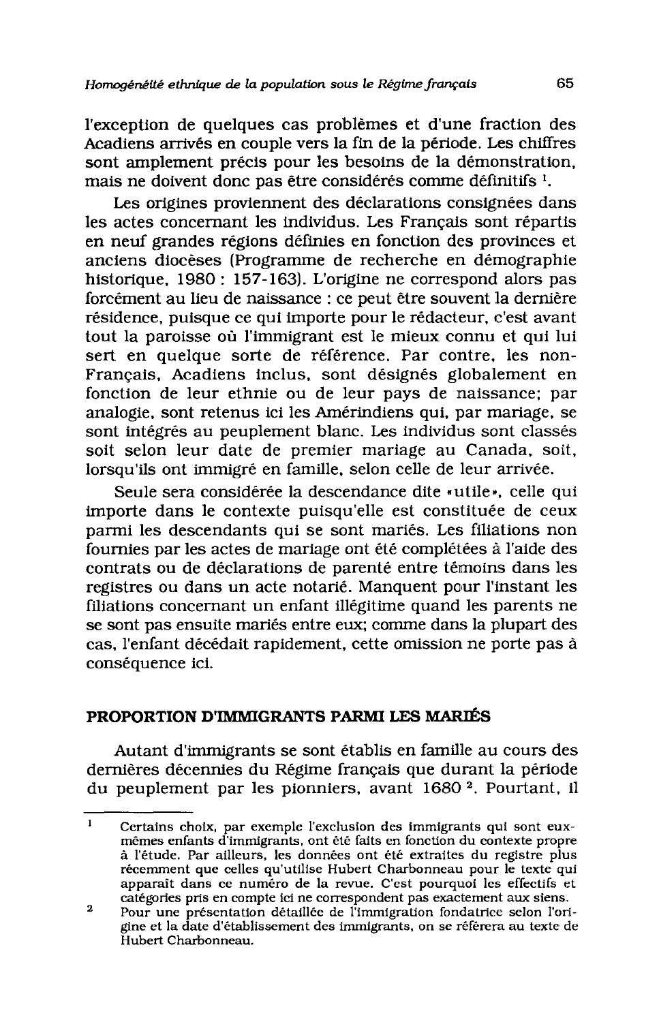l'exception de quelques cas problèmes et d'une fraction des Acadiens arrivés en couple vers la fin de la période. Les chiffres sont amplement précis pour les besoins de la démonstration. mais ne doivent donc pas être considérés comme définitifs<sup>1</sup>.

Les origines proviennent des déclarations consignées dans les actes concernant les individus. Les Français sont répartis en neuf grandes régions définies en fonction des provinces et anciens diocèses (Programme de recherche en démographie historique, 1980 : 157-163). L'origine ne correspond alors pas forcément au lieu de naissance : ce peut être souvent la dernière résidence, puisque ce qui importe pour le rédacteur, c'est avant tout la paroisse où l'immigrant est le mieux connu et qui lui sert en quelque sorte de référence. Par contre, les non-Français, Acadiens inclus, sont désignés globalement en fonction de leur ethnie ou de leur pays de naissance; par analogie, sont retenus ici les Amérindiens qui, par mariage, se sont intégrés au peuplement blanc. Les individus sont classés soit selon leur date de premier mariage au Canada, soit, lorsqu'ils ont immigré en famille, selon celle de leur arrivée.

Seule sera considérée la descendance dite «utile», celle qui importe dans le contexte puisqu'elle est constituée de ceux parmi les descendants qui se sont mariés. Les filiations non fournies par les actes de mariage ont été complétées à l'aide des contrats ou de déclarations de parenté entre témoins dans les registres ou dans un acte notarié. Manquent pour l'instant les filiations concernant un enfant illégitime quand les parents ne se sont pas ensuite mariés entre eux; comme dans la plupart des cas, l'enfant décédait rapidement, cette omission ne porte pas à conséquence ici.

## PROPORTION D'IMMIGRANTS PARMI LES MARIÉS

Autant d'immigrants se sont établis en famille au cours des dernières décennies du Régime français que durant la période du peuplement par les pionniers, avant 1680<sup>2</sup>. Pourtant, il

 $\mathbf{1}$ Certains choix, par exemple l'exclusion des immigrants qui sont euxmêmes enfants d'immigrants, ont été faits en fonction du contexte propre à l'étude. Par ailleurs, les données ont été extraites du registre plus récemment que celles qu'utilise Hubert Charbonneau pour le texte qui apparaît dans ce numéro de la revue. C'est pourquoi les effectifs et catégories pris en compte ici ne correspondent pas exactement aux siens.

 $\overline{2}$ Pour une présentation détaillée de l'immigration fondatrice selon l'origine et la date d'établissement des immigrants, on se référera au texte de Hubert Charbonneau.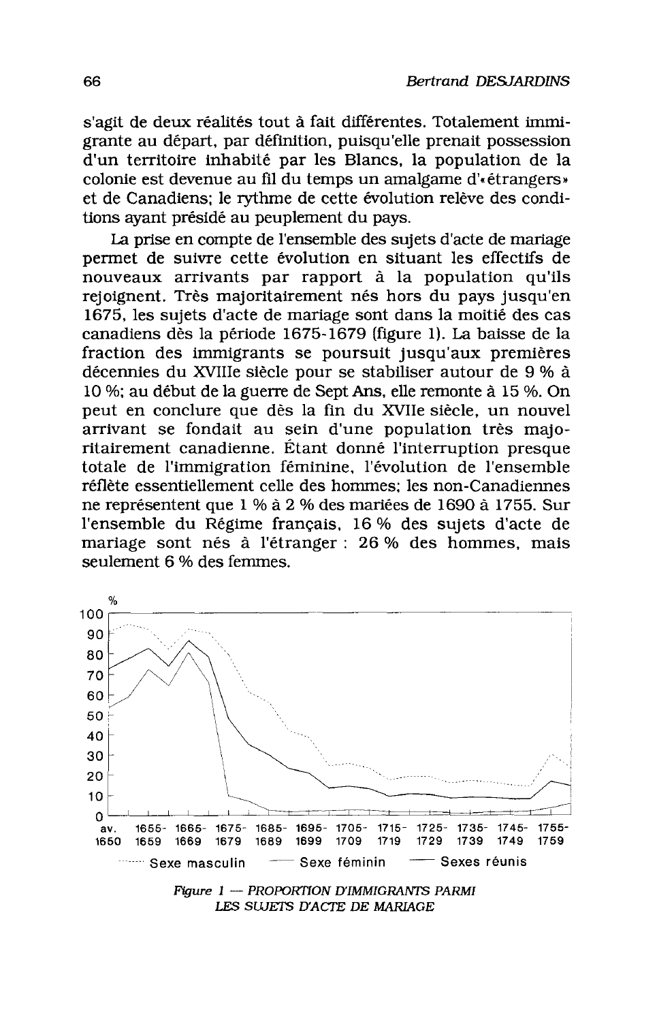s'agit de deux réalités tout à fait différentes. Totalement immigrante au départ, par définition, puisqu'elle prenait possession d'un territoire inhabité par les Blancs. la population de la colonie est devenue au fil du temps un amalgame d'«étrangers» et de Canadiens: le rythme de cette évolution relève des conditions avant présidé au peuplement du pays.

La prise en compte de l'ensemble des sujets d'acte de mariage permet de suivre cette évolution en situant les effectifs de nouveaux arrivants par rapport à la population qu'ils rejoignent. Très majoritairement nés hors du pays jusqu'en 1675, les sujets d'acte de mariage sont dans la moitié des cas canadiens dès la période 1675-1679 (figure 1). La baisse de la fraction des immigrants se poursuit jusqu'aux premières décennies du XVIIIe siècle pour se stabiliser autour de 9 % à 10 %; au début de la guerre de Sept Ans, elle remonte à 15 %. On peut en conclure que dès la fin du XVIIe siècle, un nouvel arrivant se fondait au sein d'une population très majoritairement canadienne. Étant donné l'interruption presque totale de l'immigration féminine, l'évolution de l'ensemble réflète essentiellement celle des hommes: les non-Canadiennes ne représentent que 1 % à 2 % des mariées de 1690 à 1755. Sur l'ensemble du Régime français, 16 % des sujets d'acte de mariage sont nés à l'étranger : 26 % des hommes, mais seulement 6 % des femmes.



LES SUJETS D'ACTE DE MARIAGE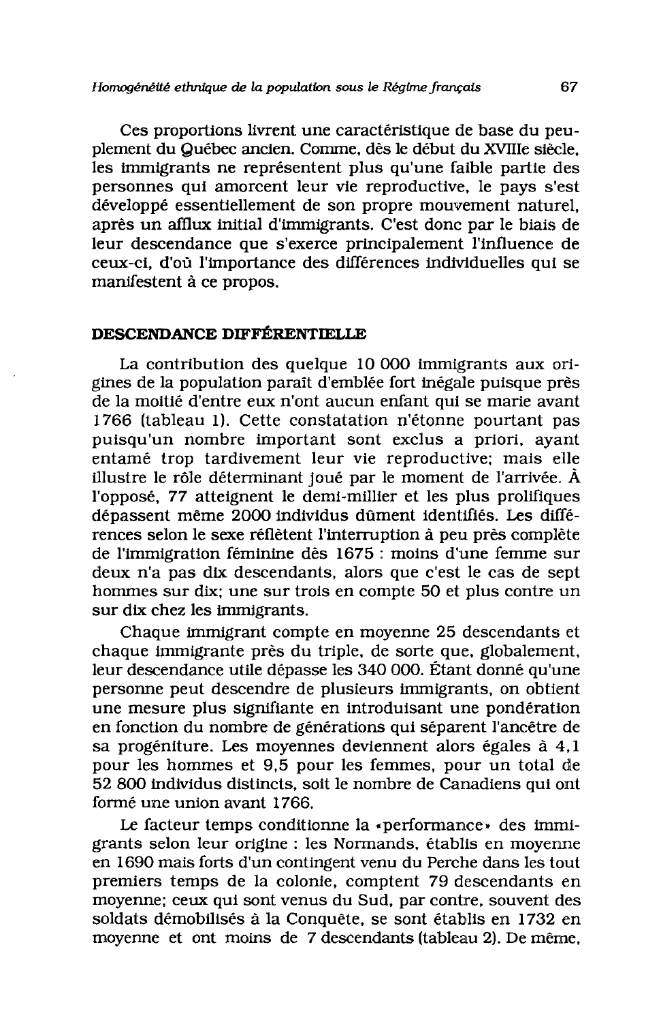## Homogénéité ethnique de la population sous le Régime français

Ces proportions livrent une caractéristique de base du peuplement du Québec ancien. Comme, dès le début du XVIIIe siècle. les immigrants ne représentent plus qu'une faible partie des personnes qui amorcent leur vie reproductive, le pays s'est développé essentiellement de son propre mouvement naturel. après un afflux initial d'immigrants. C'est donc par le biais de leur descendance que s'exerce principalement l'influence de ceux-ci, d'où l'importance des différences individuelles qui se manifestent à ce propos.

## DESCENDANCE DIFFÉRENTIELLE

La contribution des quelque 10 000 immigrants aux origines de la population paraît d'emblée fort inégale puisque près de la moitié d'entre eux n'ont aucun enfant qui se marie avant 1766 (tableau 1). Cette constatation n'étonne pourtant pas puisqu'un nombre important sont exclus a priori, ayant entamé trop tardivement leur vie reproductive; mais elle illustre le rôle déterminant joué par le moment de l'arrivée. À l'opposé, 77 atteignent le demi-millier et les plus prolifiques dépassent même 2000 individus dûment identifiés. Les différences selon le sexe réflètent l'interruption à peu près complète de l'immigration féminine dès 1675 : moins d'une femme sur deux n'a pas dix descendants, alors que c'est le cas de sept hommes sur dix; une sur trois en compte 50 et plus contre un sur dix chez les immigrants.

Chaque immigrant compte en moyenne 25 descendants et chaque immigrante près du triple, de sorte que, globalement, leur descendance utile dépasse les 340 000. Étant donné qu'une personne peut descendre de plusieurs immigrants, on obtient une mesure plus signifiante en introduisant une pondération en fonction du nombre de générations qui séparent l'ancêtre de sa progéniture. Les moyennes deviennent alors égales à 4.1 pour les hommes et 9.5 pour les femmes, pour un total de 52 800 individus distincts, soit le nombre de Canadiens qui ont formé une union avant 1766.

Le facteur temps conditionne la «performance» des immigrants selon leur origine : les Normands, établis en moyenne en 1690 mais forts d'un contingent venu du Perche dans les tout premiers temps de la colonie, comptent 79 descendants en moyenne; ceux qui sont venus du Sud, par contre, souvent des soldats démobilisés à la Conquête, se sont établis en 1732 en moyenne et ont moins de 7 descendants (tableau 2). De même.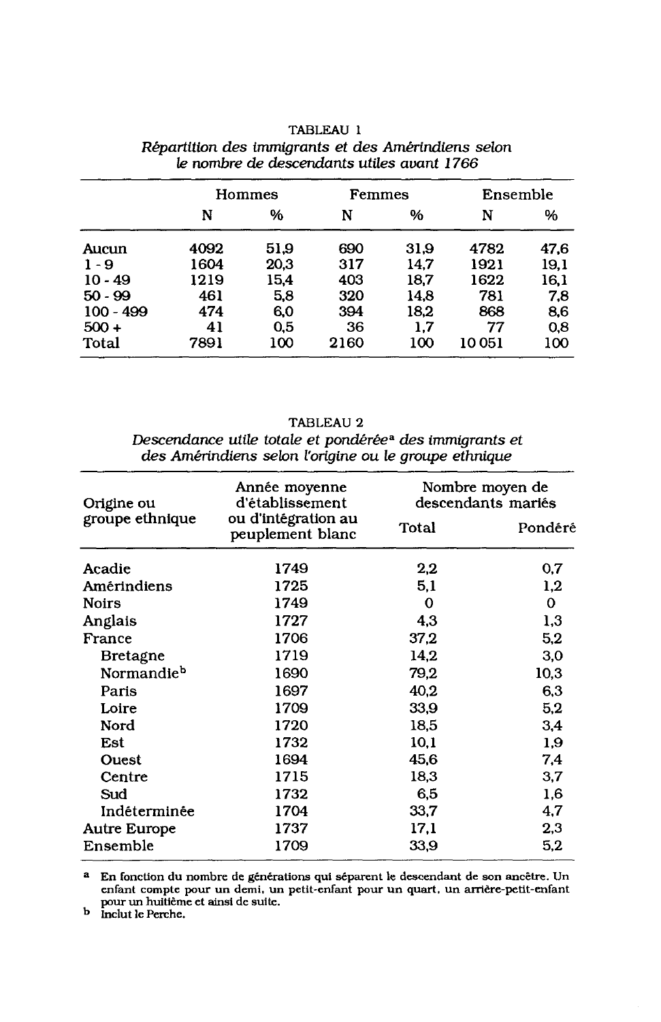|             | Hommes |      | Femmes |      | Ensemble |      |  |
|-------------|--------|------|--------|------|----------|------|--|
|             | N      | %    | N      | %    | N        | %    |  |
| Aucun       | 4092   | 51.9 | 690    | 31.9 | 4782     | 47.6 |  |
| $1 - 9$     | 1604   | 20,3 | 317    | 14.7 | 1921     | 19.1 |  |
| $10 - 49$   | 1219   | 15,4 | 403    | 18,7 | 1622     | 16,1 |  |
| $50 - 99$   | 461    | 5,8  | 320    | 14.8 | 781      | 7.8  |  |
| $100 - 499$ | 474    | 6,0  | 394    | 18,2 | 868      | 8,6  |  |
| $500 +$     | 41     | 0.5  | 36     | 1.7  | 77       | 0.8  |  |
| Total       | 7891   | 100  | 2160   | 100  | 10 051   | 100  |  |

## TABLEAU 1 Répartition des immigrants et des Amérindiens selon le nombre de descendants utiles avant 1766

TABLEAU 2 Descendance utile totale et pondérée<sup>a</sup> des immigrants et des Amérindiens selon l'origine ou le groupe ethnique

| Origine ou             | Année moyenne<br>d'établissement        | Nombre moyen de<br>descendants mariés |         |  |  |
|------------------------|-----------------------------------------|---------------------------------------|---------|--|--|
| groupe ethnique        | ou d'intégration au<br>peuplement blanc | <b>Total</b>                          | Pondéré |  |  |
| Acadie                 | 1749                                    | 2,2                                   | 0,7     |  |  |
| Amérindiens            | 1725                                    | 5,1                                   | 1,2     |  |  |
| <b>Noirs</b>           | 1749                                    | 0                                     | 0       |  |  |
| Anglais                | 1727                                    | 4,3                                   | 1,3     |  |  |
| France                 | 1706                                    | 37,2                                  | 5.2     |  |  |
| <b>Bretagne</b>        | 1719                                    | 14.2                                  | 3,0     |  |  |
| Normandie <sup>b</sup> | 1690                                    | 79,2                                  | 10,3    |  |  |
| Paris                  | 1697                                    | 40.2                                  | 6,3     |  |  |
| Loire                  | 1709                                    | 33,9                                  | 5,2     |  |  |
| Nord                   | 1720                                    | 18,5                                  | 3.4     |  |  |
| Est                    | 1732                                    | 10,1                                  | 1,9     |  |  |
| Ouest                  | 1694                                    | 45,6                                  | 7,4     |  |  |
| Centre                 | 1715                                    | 18.3                                  | 3,7     |  |  |
| Sud                    | 1732                                    | 6,5                                   | 1.6     |  |  |
| Indéterminée           | 1704                                    | 33,7                                  | 4,7     |  |  |
| <b>Autre Europe</b>    | 1737                                    | 17,1                                  | 2,3     |  |  |
| Ensemble               | 1709                                    | 33,9                                  | 5,2     |  |  |

 $^{\tt a}$  En fonction du nombre de générations qui séparent le descendant de son ancêtre. Un enfant compte pour un demi, un petit-enfant pour un quart, un arrière-petit-enfant pour un huitième et ainsi de suite.<br>b Inclut le Perche.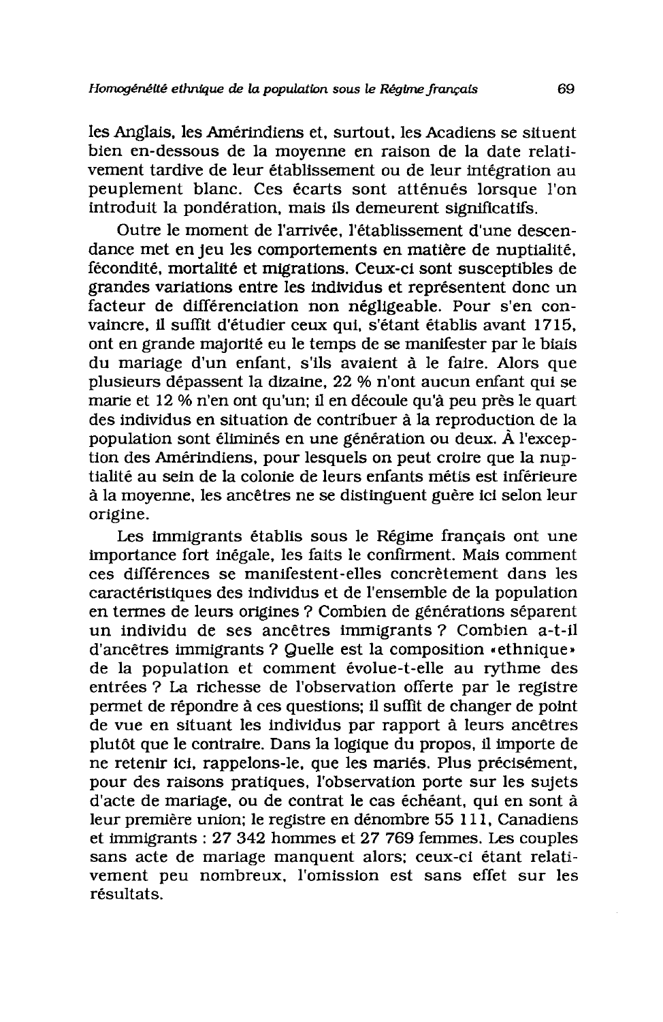les Anglais, les Amérindiens et, surtout, les Acadiens se situent bien en-dessous de la moyenne en raison de la date relativement tardive de leur établissement ou de leur intégration au peuplement blanc. Ces écarts sont atténués lorsque l'on introduit la pondération, mais ils demeurent significatifs.

Outre le moment de l'arrivée, l'établissement d'une descendance met en jeu les comportements en matière de nuptialité. fécondité, mortalité et migrations. Ceux-ci sont susceptibles de grandes variations entre les individus et représentent donc un facteur de différenciation non négligeable. Pour s'en convaincre, il suffit d'étudier ceux qui, s'étant établis avant 1715, ont en grande majorité eu le temps de se manifester par le biais du mariage d'un enfant, s'ils avaient à le faire. Alors que plusieurs dépassent la dizaine, 22 % n'ont aucun enfant qui se marie et 12 % n'en ont qu'un; il en découle qu'à peu près le quart des individus en situation de contribuer à la reproduction de la population sont éliminés en une génération ou deux. À l'exception des Amérindiens, pour lesquels on peut croire que la nuptialité au sein de la colonie de leurs enfants mêtis est inférieure à la moyenne, les ancêtres ne se distinguent guère ici selon leur origine.

Les immigrants établis sous le Régime français ont une importance fort inégale, les faits le confirment. Mais comment ces différences se manifestent-elles concrètement dans les caractéristiques des individus et de l'ensemble de la population en termes de leurs origines ? Combien de générations séparent un individu de ses ancêtres immigrants ? Combien a-t-il d'ancêtres immigrants ? Quelle est la composition « ethnique » de la population et comment évolue-t-elle au rythme des entrées ? La richesse de l'observation offerte par le registre permet de répondre à ces questions; il suffit de changer de point de vue en situant les individus par rapport à leurs ancêtres plutôt que le contraire. Dans la logique du propos, il importe de ne retenir ici, rappelons-le, que les mariés. Plus précisément, pour des raisons pratiques, l'observation porte sur les sujets d'acte de mariage, ou de contrat le cas échéant, qui en sont à leur première union; le registre en dénombre 55 111, Canadiens et immigrants : 27 342 hommes et 27 769 femmes. Les couples sans acte de mariage manquent alors; ceux-ci étant relativement peu nombreux, l'omission est sans effet sur les résultats.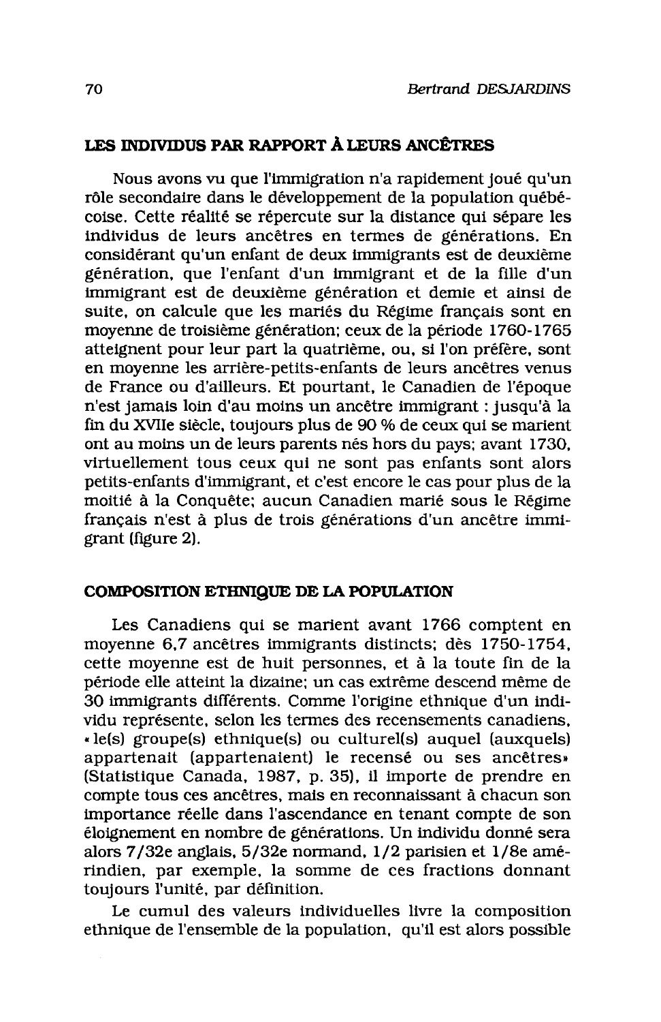## LES INDIVIDUS PAR RAPPORT À LEURS ANCÊTRES

Nous avons vu que l'immigration n'a rapidement joué qu'un rôle secondaire dans le développement de la population québécoise. Cette réalité se répercute sur la distance qui sépare les individus de leurs ancêtres en termes de générations. En considérant qu'un enfant de deux immigrants est de deuxième génération, que l'enfant d'un immigrant et de la fille d'un immigrant est de deuxième génération et demie et ainsi de suite, on calcule que les mariés du Régime français sont en movenne de troisième génération; ceux de la période 1760-1765 atteignent pour leur part la quatrième, ou, si l'on préfère, sont en movenne les arrière-petits-enfants de leurs ancêtres venus de France ou d'ailleurs. Et pourtant, le Canadien de l'époque n'est jamais loin d'au moins un ancêtre immigrant : jusqu'à la fin du XVIIe siècle, toujours plus de 90 % de ceux qui se marient ont au moins un de leurs parents nés hors du pays; avant 1730, virtuellement tous ceux qui ne sont pas enfants sont alors petits-enfants d'immigrant, et c'est encore le cas pour plus de la moitié à la Conquête: aucun Canadien marié sous le Régime français n'est à plus de trois générations d'un ancêtre immigrant (figure 2).

## COMPOSITION ETHNIQUE DE LA POPULATION

Les Canadiens qui se marient avant 1766 comptent en movenne 6.7 ancêtres immigrants distincts; dès 1750-1754. cette moyenne est de huit personnes, et à la toute fin de la période elle atteint la dizaine; un cas extrême descend même de 30 immigrants différents. Comme l'origine ethnique d'un individu représente, selon les termes des recensements canadiens, « le(s) groupe(s) ethnique(s) ou culturel(s) auquel (auxquels) appartenait (appartenaient) le recensé ou ses ancêtres» (Statistique Canada, 1987, p. 35), il importe de prendre en compte tous ces ancêtres, mais en reconnaissant à chacun son importance réelle dans l'ascendance en tenant compte de son éloignement en nombre de générations. Un individu donné sera alors 7/32e anglais, 5/32e normand, 1/2 parisien et 1/8e amérindien, par exemple, la somme de ces fractions donnant toujours l'unité, par définition.

Le cumul des valeurs individuelles livre la composition ethnique de l'ensemble de la population, qu'il est alors possible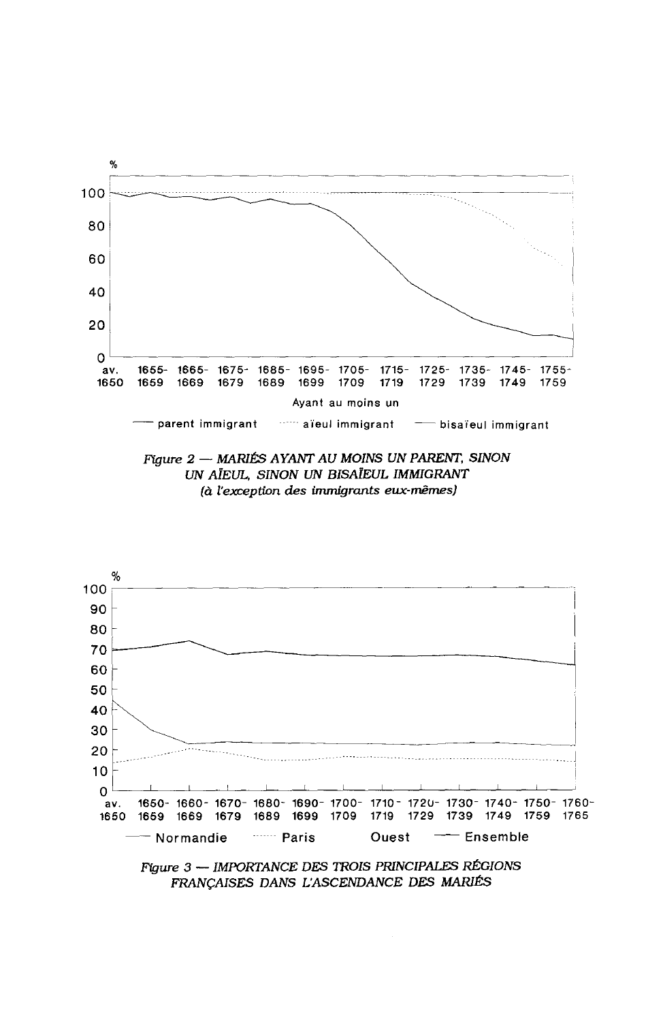





FRANÇAISES DANS L'ASCENDANCE DES MARIÉS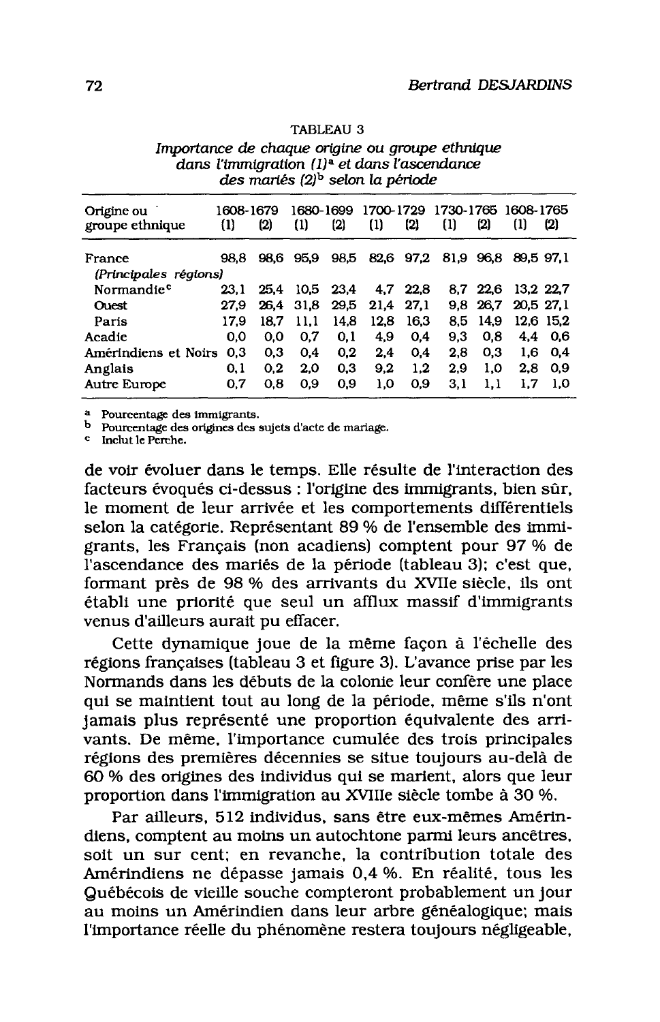| Origine ou<br>groupe ethnique | 1608-1679<br>$\{1\}$ | (2)  | 1680-1699<br>$\Omega$ | (2)  | 1700-1729<br>$\left(1\right)$ | $\left( 2\right)$ | 1730-1765<br>$\left(1\right)$ | (2)      | 1608-1765<br>$\left(1\right)$ | (2)       |
|-------------------------------|----------------------|------|-----------------------|------|-------------------------------|-------------------|-------------------------------|----------|-------------------------------|-----------|
| France                        | 98.8                 | 98.6 | 95.9                  | 98.5 | 82,6                          | 97,2              | 81.9 96.8                     |          | 89,5 97,1                     |           |
| (Principales régions)         |                      |      |                       |      |                               |                   |                               |          |                               |           |
| Normandie <sup>c</sup>        | 23.1                 | 25.4 | 10.5 <sub>1</sub>     | 23.4 | 4.7                           | 22.8              |                               | 8.7 22.6 | 13.2 22.7                     |           |
| <b>Ouest</b>                  | 27.9                 | 26.4 | 31.8                  | 29,5 | 21.4                          | 27.1              | 9.8                           | 26.7     | 20.5 27.1                     |           |
| Paris                         | 17.9                 | 18.7 | 11.1                  | 14.8 | 12.8                          | 16.3              | 8.5                           | 14.9     |                               | 12.6 15.2 |
| Acadie                        | 0.0                  | 0.0  | 0.7                   | 0,1  | 4.9                           | 0.4               | 9.3                           | 0.8      | $4.4^{\circ}$                 | - 0.6     |
| Amérindiens et Noirs          | 0,3                  | 0.3  | 0.4                   | 0,2  | 2.4                           | 0.4               | 2.8                           | 0.3      | 1.6                           | 0.4       |
| Anglais                       | 0.1                  | 0.2  | 2.0                   | 0.3  | 9.2                           | 1.2               | 2.9                           | 1,0      | 2.8                           | 0.9       |
| Autre Europe                  | 0,7                  | 0.8  | 0.9                   | 0,9  | 1,0                           | 0.9               | 3,1                           | 1,1      | 1,7                           | 1.0       |
|                               |                      |      |                       |      |                               |                   |                               |          |                               |           |

#### **TABLEAU 3**

Importance de chaque origine ou groupe ethnique dans l'immigration (1)<sup>a</sup> et dans l'ascendance des mariés (2)<sup>b</sup> selon la période

<sup>a</sup> Pourcentage des immigrants.

b Pourcentage des origines des sujets d'acte de mariage.

<sup>c</sup> Inclut le Perche.

de voir évoluer dans le temps. Elle résulte de l'interaction des facteurs évoqués ci-dessus : l'origine des immigrants, bien sûr, le moment de leur arrivée et les comportements différentiels selon la catégorie. Représentant 89 % de l'ensemble des immigrants, les Français (non acadiens) comptent pour 97 % de l'ascendance des mariés de la période (tableau 3); c'est que, formant près de 98 % des arrivants du XVIIe siècle, ils ont établi une priorité que seul un afflux massif d'immigrants venus d'ailleurs aurait pu effacer.

Cette dynamique joue de la même façon à l'échelle des régions françaises (tableau 3 et figure 3). L'avance prise par les Normands dans les débuts de la colonie leur confère une place qui se maintient tout au long de la période, même s'ils n'ont jamais plus représenté une proportion équivalente des arrivants. De même, l'importance cumulée des trois principales régions des premières décennies se situe toujours au-delà de 60 % des origines des individus qui se marient, alors que leur proportion dans l'immigration au XVIIIe siècle tombe à 30 %.

Par ailleurs, 512 individus, sans être eux-mêmes Amérindiens, comptent au moins un autochtone parmi leurs ancêtres, soit un sur cent: en revanche, la contribution totale des Amérindiens ne dépasse jamais 0,4 %. En réalité, tous les Québécois de vieille souche compteront probablement un jour au moins un Amérindien dans leur arbre généalogique; mais l'importance réelle du phénomène restera toujours négligeable,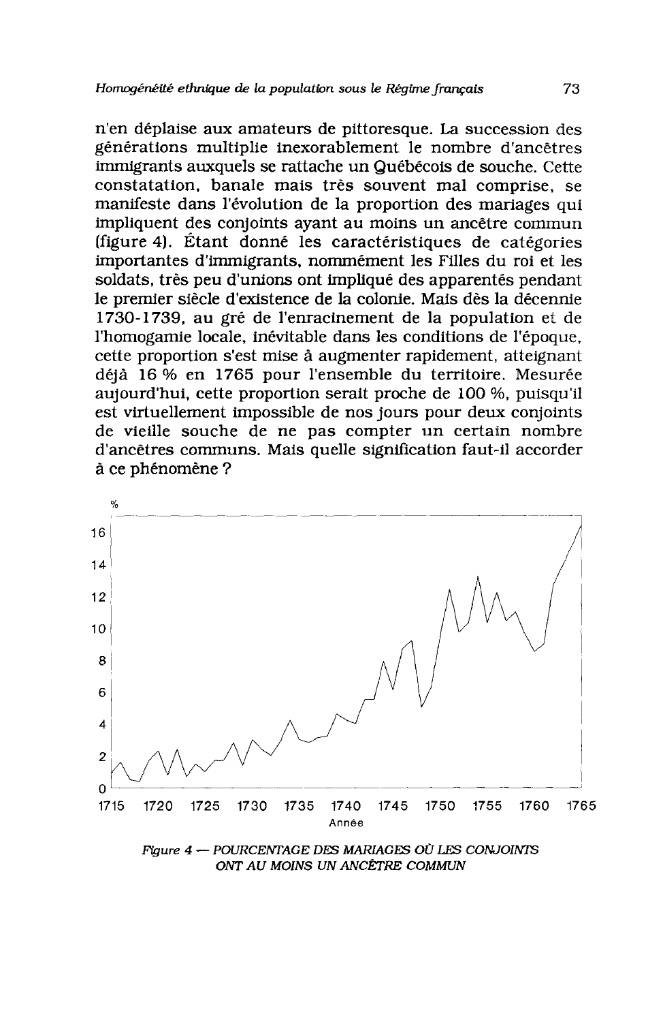n'en déplaise aux amateurs de pittoresque. La succession des générations multiplie inexorablement le nombre d'ancêtres immigrants auxquels se rattache un Québécois de souche. Cette constatation, banale mais très souvent mal comprise, se manifeste dans l'évolution de la proportion des mariages qui impliquent des conjoints ayant au moins un ancêtre commun (figure 4). Étant donné les caractéristiques de catégories importantes d'immigrants, nommément les Filles du roi et les soldats, très peu d'unions ont impliqué des apparentés pendant le premier siècle d'existence de la colonie. Mais dès la décennie 1730-1739, au gré de l'enracinement de la population et de l'homogamie locale, inévitable dans les conditions de l'époque, cette proportion s'est mise à augmenter rapidement, atteignant déjà 16 % en 1765 pour l'ensemble du territoire. Mesurée aujourd'hui, cette proportion serait proche de 100 %, puisqu'il est virtuellement impossible de nos jours pour deux conjoints de vieille souche de ne pas compter un certain nombre d'ancêtres communs. Mais quelle signification faut-il accorder à ce phénomène ?



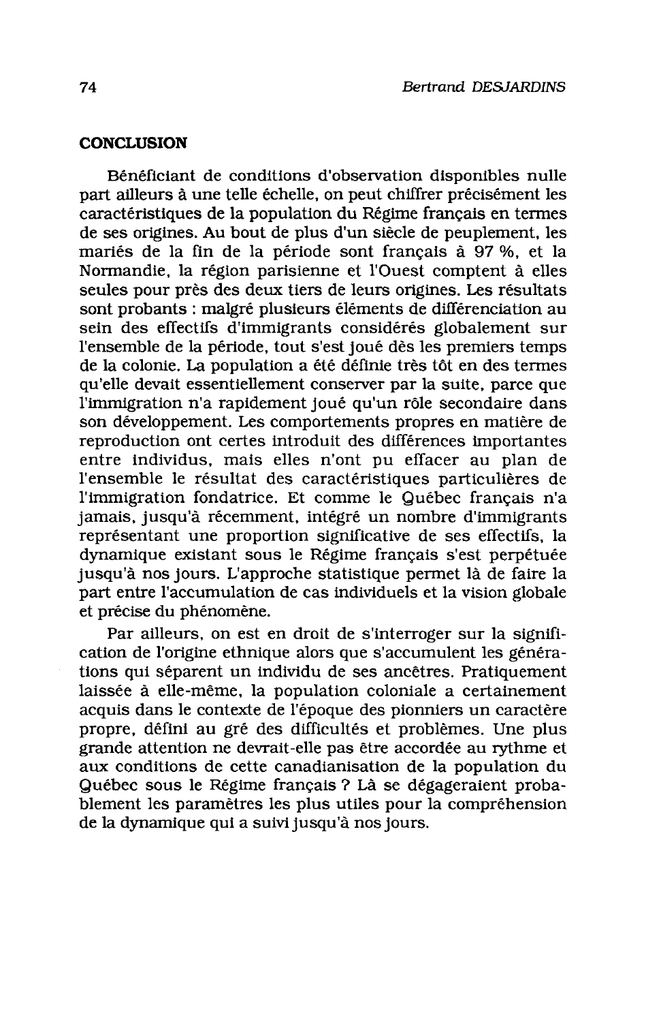#### **CONCLUSION**

Bénéficiant de conditions d'observation disponibles nulle part ailleurs à une telle échelle, on peut chiffrer précisément les caractéristiques de la population du Régime français en termes de ses origines. Au bout de plus d'un siècle de peuplement, les mariés de la fin de la période sont français à 97 %, et la Normandie, la région parisienne et l'Ouest comptent à elles seules pour près des deux tiers de leurs origines. Les résultats sont probants : malgré plusieurs éléments de différenciation au sein des effectifs d'immigrants considérés globalement sur l'ensemble de la période, tout s'est joué dès les premiers temps de la colonie. La population a été définie très tôt en des termes qu'elle devait essentiellement conserver par la suite, parce que l'immigration n'a rapidement joué qu'un rôle secondaire dans son développement. Les comportements propres en matière de reproduction ont certes introduit des différences importantes entre individus, mais elles n'ont pu effacer au plan de l'ensemble le résultat des caractéristiques particulières de l'immigration fondatrice. Et comme le Québec français n'a jamais, jusqu'à récemment, intégré un nombre d'immigrants représentant une proportion significative de ses effectifs. la dynamique existant sous le Régime français s'est perpétuée jusqu'à nos jours. L'approche statistique permet là de faire la part entre l'accumulation de cas individuels et la vision globale et précise du phénomène.

Par ailleurs, on est en droit de s'interroger sur la signification de l'origine ethnique alors que s'accumulent les générations qui séparent un individu de ses ancêtres. Pratiquement laissée à elle-même, la population coloniale a certainement acquis dans le contexte de l'époque des pionniers un caractère propre, défini au gré des difficultés et problèmes. Une plus grande attention ne devrait-elle pas être accordée au rythme et aux conditions de cette canadianisation de la population du Québec sous le Régime français ? Là se dégageraient probablement les paramètres les plus utiles pour la compréhension de la dynamique qui a suivi jusqu'à nos jours.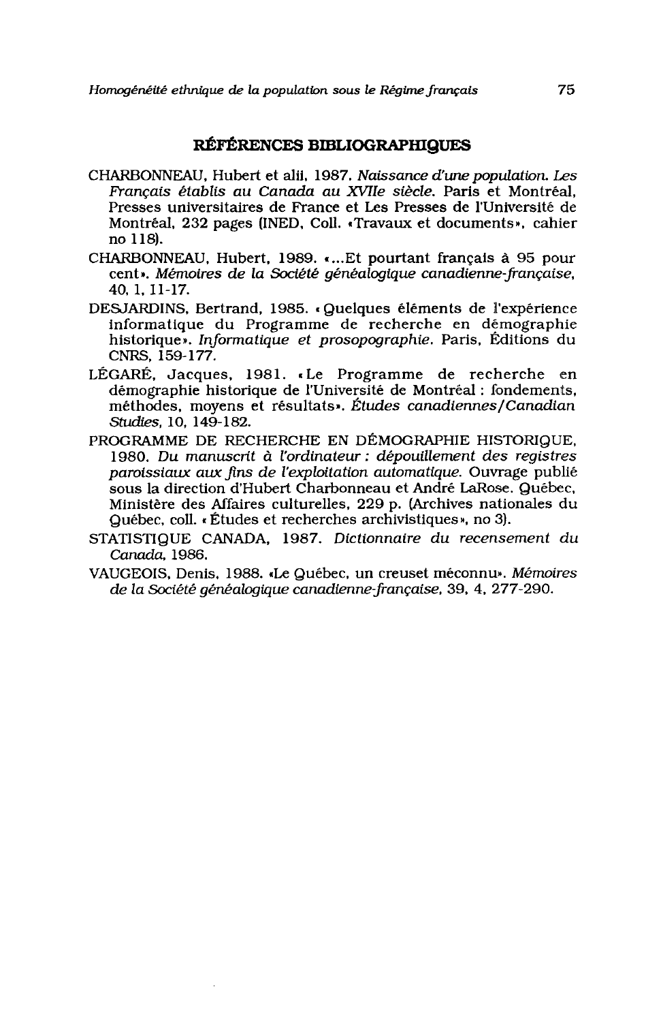## RÉFÉRENCES BIBLIOGRAPHIQUES

- CHARBONNEAU, Hubert et alii, 1987. Naissance d'une population. Les Français établis au Canada au XVIIe siècle. Paris et Montréal. Presses universitaires de France et Les Presses de l'Université de Montréal, 232 pages (INED, Coll. «Travaux et documents», cahier no 118.
- CHARBONNEAU, Hubert, 1989. «...Et pourtant français à 95 pour cent». Mémoires de la Société généalogique canadienne-française, 40, 1, 11-17.
- DESJARDINS, Bertrand, 1985. «Quelques éléments de l'expérience informatique du Programme de recherche en démographie historique». Informatique et prosopographie. Paris, Éditions du CNRS, 159-177.
- LÉGARÉ, Jacques, 1981. «Le Programme de recherche en démographie historique de l'Université de Montréal : fondements. méthodes, moyens et résultats». Études canadiennes/Canadian Studies. 10. 149-182.
- PROGRAMME DE RECHERCHE EN DÉMOGRAPHIE HISTORIQUE. 1980. Du manuscrit à l'ordinateur : dépouillement des registres paroissiaux aux fins de l'exploitation automatique. Ouvrage publié sous la direction d'Hubert Charbonneau et André LaRose, Québec. Ministère des Affaires culturelles, 229 p. (Archives nationales du Québec, coll. «Études et recherches archivistiques», no 3).
- STATISTIQUE CANADA, 1987. Dictionnaire du recensement du Canada, 1986.
- VAUGEOIS, Denis, 1988. «Le Québec, un creuset méconnu». Mémoires de la Société généalogique canadienne-française, 39, 4, 277-290.